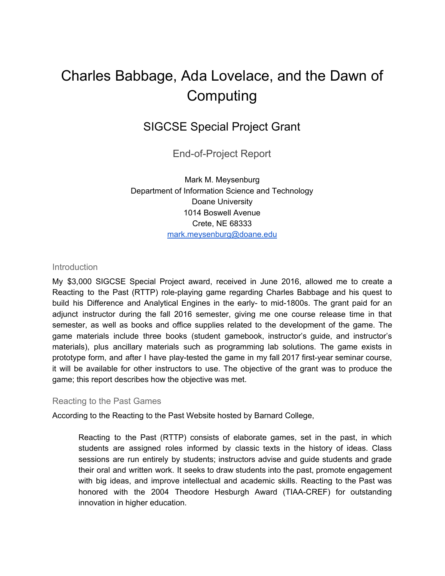# Charles Babbage, Ada Lovelace, and the Dawn of Computing

# SIGCSE Special Project Grant

End-of-Project Report

Mark M. Meysenburg Department of Information Science and Technology Doane University 1014 Boswell Avenue Crete, NE 68333 [mark.meysenburg@doane.edu](mailto:mark.meysenburg@doane.edu)

#### **Introduction**

My \$3,000 SIGCSE Special Project award, received in June 2016, allowed me to create a Reacting to the Past (RTTP) role-playing game regarding Charles Babbage and his quest to build his Difference and Analytical Engines in the early- to mid-1800s. The grant paid for an adjunct instructor during the fall 2016 semester, giving me one course release time in that semester, as well as books and office supplies related to the development of the game. The game materials include three books (student gamebook, instructor's guide, and instructor's materials), plus ancillary materials such as programming lab solutions. The game exists in prototype form, and after I have play-tested the game in my fall 2017 first-year seminar course, it will be available for other instructors to use. The objective of the grant was to produce the game; this report describes how the objective was met.

#### Reacting to the Past Games

According to the Reacting to the Past Website hosted by Barnard College,

Reacting to the Past (RTTP) consists of elaborate games, set in the past, in which students are assigned roles informed by classic texts in the history of ideas. Class sessions are run entirely by students; instructors advise and guide students and grade their oral and written work. It seeks to draw students into the past, promote engagement with big ideas, and improve intellectual and academic skills. Reacting to the Past was honored with the 2004 Theodore Hesburgh Award (TIAA-CREF) for outstanding innovation in higher education.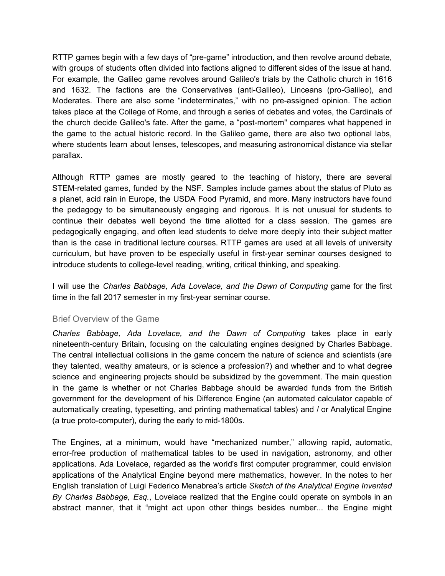RTTP games begin with a few days of "pre-game" introduction, and then revolve around debate, with groups of students often divided into factions aligned to different sides of the issue at hand. For example, the Galileo game revolves around Galileo's trials by the Catholic church in 1616 and 1632. The factions are the Conservatives (anti-Galileo), Linceans (pro-Galileo), and Moderates. There are also some "indeterminates," with no pre-assigned opinion. The action takes place at the College of Rome, and through a series of debates and votes, the Cardinals of the church decide Galileo's fate. After the game, a "post-mortem" compares what happened in the game to the actual historic record. In the Galileo game, there are also two optional labs, where students learn about lenses, telescopes, and measuring astronomical distance via stellar parallax.

Although RTTP games are mostly geared to the teaching of history, there are several STEM-related games, funded by the NSF. Samples include games about the status of Pluto as a planet, acid rain in Europe, the USDA Food Pyramid, and more. Many instructors have found the pedagogy to be simultaneously engaging and rigorous. It is not unusual for students to continue their debates well beyond the time allotted for a class session. The games are pedagogically engaging, and often lead students to delve more deeply into their subject matter than is the case in traditional lecture courses. RTTP games are used at all levels of university curriculum, but have proven to be especially useful in first-year seminar courses designed to introduce students to college-level reading, writing, critical thinking, and speaking.

I will use the *Charles Babbage, Ada Lovelace, and the Dawn of Computing* game for the first time in the fall 2017 semester in my first-year seminar course.

#### Brief Overview of the Game

*Charles Babbage, Ada Lovelace, and the Dawn of Computing* takes place in early nineteenth-century Britain, focusing on the calculating engines designed by Charles Babbage. The central intellectual collisions in the game concern the nature of science and scientists (are they talented, wealthy amateurs, or is science a profession?) and whether and to what degree science and engineering projects should be subsidized by the government. The main question in the game is whether or not Charles Babbage should be awarded funds from the British government for the development of his Difference Engine (an automated calculator capable of automatically creating, typesetting, and printing mathematical tables) and / or Analytical Engine (a true proto-computer), during the early to mid-1800s.

The Engines, at a minimum, would have "mechanized number," allowing rapid, automatic, error-free production of mathematical tables to be used in navigation, astronomy, and other applications. Ada Lovelace, regarded as the world's first computer programmer, could envision applications of the Analytical Engine beyond mere mathematics, however. In the notes to her English translation of Luigi Federico Menabrea's article *Sketch of the Analytical Engine Invented By Charles Babbage, Esq.*, Lovelace realized that the Engine could operate on symbols in an abstract manner, that it "might act upon other things besides number... the Engine might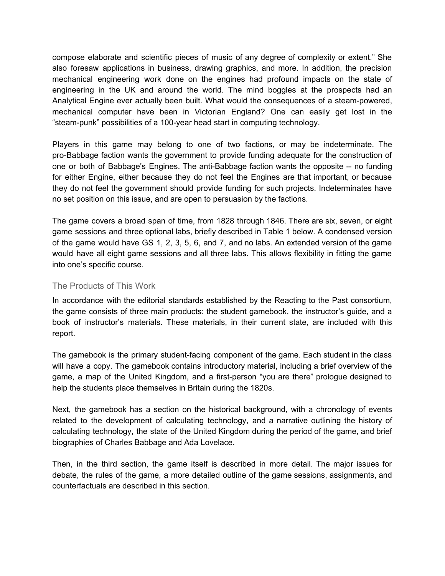compose elaborate and scientific pieces of music of any degree of complexity or extent." She also foresaw applications in business, drawing graphics, and more. In addition, the precision mechanical engineering work done on the engines had profound impacts on the state of engineering in the UK and around the world. The mind boggles at the prospects had an Analytical Engine ever actually been built. What would the consequences of a steam-powered, mechanical computer have been in Victorian England? One can easily get lost in the "steam-punk" possibilities of a 100-year head start in computing technology.

Players in this game may belong to one of two factions, or may be indeterminate. The pro-Babbage faction wants the government to provide funding adequate for the construction of one or both of Babbage's Engines. The anti-Babbage faction wants the opposite -- no funding for either Engine, either because they do not feel the Engines are that important, or because they do not feel the government should provide funding for such projects. Indeterminates have no set position on this issue, and are open to persuasion by the factions.

The game covers a broad span of time, from 1828 through 1846. There are six, seven, or eight game sessions and three optional labs, briefly described in Table 1 below. A condensed version of the game would have GS 1, 2, 3, 5, 6, and 7, and no labs. An extended version of the game would have all eight game sessions and all three labs. This allows flexibility in fitting the game into one's specific course.

#### The Products of This Work

In accordance with the editorial standards established by the Reacting to the Past consortium, the game consists of three main products: the student gamebook, the instructor's guide, and a book of instructor's materials. These materials, in their current state, are included with this report.

The gamebook is the primary student-facing component of the game. Each student in the class will have a copy. The gamebook contains introductory material, including a brief overview of the game, a map of the United Kingdom, and a first-person "you are there" prologue designed to help the students place themselves in Britain during the 1820s.

Next, the gamebook has a section on the historical background, with a chronology of events related to the development of calculating technology, and a narrative outlining the history of calculating technology, the state of the United Kingdom during the period of the game, and brief biographies of Charles Babbage and Ada Lovelace.

Then, in the third section, the game itself is described in more detail. The major issues for debate, the rules of the game, a more detailed outline of the game sessions, assignments, and counterfactuals are described in this section.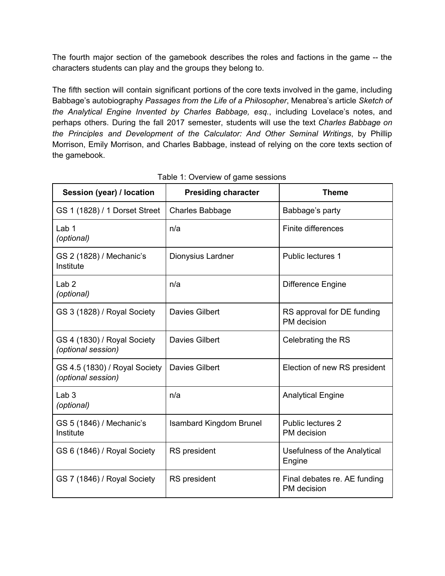The fourth major section of the gamebook describes the roles and factions in the game -- the characters students can play and the groups they belong to.

The fifth section will contain significant portions of the core texts involved in the game, including Babbage's autobiography *Passages from the Life of a Philosopher*, Menabrea's article *Sketch of the Analytical Engine Invented by Charles Babbage, esq.*, including Lovelace's notes, and perhaps others. During the fall 2017 semester, students will use the text *Charles Babbage on the Principles and Development of the Calculator: And Other Seminal Writings*, by Phillip Morrison, Emily Morrison, and Charles Babbage, instead of relying on the core texts section of the gamebook.

| Session (year) / location                           | <b>Presiding character</b>     | <b>Theme</b>                                |
|-----------------------------------------------------|--------------------------------|---------------------------------------------|
| GS 1 (1828) / 1 Dorset Street                       | <b>Charles Babbage</b>         | Babbage's party                             |
| Lab <sub>1</sub><br>(optional)                      | n/a                            | Finite differences                          |
| GS 2 (1828) / Mechanic's<br>Institute               | Dionysius Lardner              | Public lectures 1                           |
| Lab <sub>2</sub><br>(optional)                      | n/a                            | <b>Difference Engine</b>                    |
| GS 3 (1828) / Royal Society                         | <b>Davies Gilbert</b>          | RS approval for DE funding<br>PM decision   |
| GS 4 (1830) / Royal Society<br>(optional session)   | Davies Gilbert                 | Celebrating the RS                          |
| GS 4.5 (1830) / Royal Society<br>(optional session) | Davies Gilbert                 | Election of new RS president                |
| Lab <sub>3</sub><br>(optional)                      | n/a                            | <b>Analytical Engine</b>                    |
| GS 5 (1846) / Mechanic's<br>Institute               | <b>Isambard Kingdom Brunel</b> | <b>Public lectures 2</b><br>PM decision     |
| GS 6 (1846) / Royal Society                         | RS president                   | Usefulness of the Analytical<br>Engine      |
| GS 7 (1846) / Royal Society                         | <b>RS</b> president            | Final debates re. AE funding<br>PM decision |

Table 1: Overview of game sessions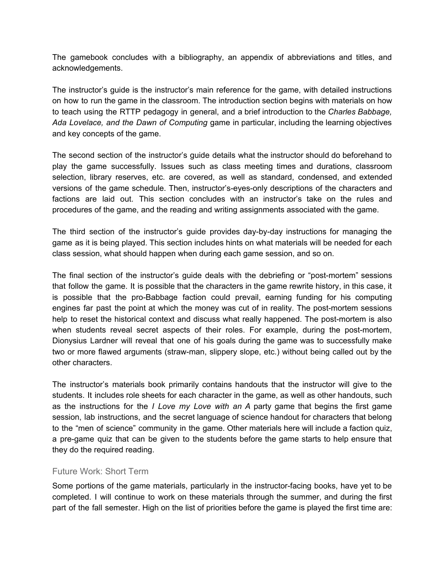The gamebook concludes with a bibliography, an appendix of abbreviations and titles, and acknowledgements.

The instructor's guide is the instructor's main reference for the game, with detailed instructions on how to run the game in the classroom. The introduction section begins with materials on how to teach using the RTTP pedagogy in general, and a brief introduction to the *Charles Babbage, Ada Lovelace, and the Dawn of Computing* game in particular, including the learning objectives and key concepts of the game.

The second section of the instructor's guide details what the instructor should do beforehand to play the game successfully. Issues such as class meeting times and durations, classroom selection, library reserves, etc. are covered, as well as standard, condensed, and extended versions of the game schedule. Then, instructor's-eyes-only descriptions of the characters and factions are laid out. This section concludes with an instructor's take on the rules and procedures of the game, and the reading and writing assignments associated with the game.

The third section of the instructor's guide provides day-by-day instructions for managing the game as it is being played. This section includes hints on what materials will be needed for each class session, what should happen when during each game session, and so on.

The final section of the instructor's guide deals with the debriefing or "post-mortem" sessions that follow the game. It is possible that the characters in the game rewrite history, in this case, it is possible that the pro-Babbage faction could prevail, earning funding for his computing engines far past the point at which the money was cut of in reality. The post-mortem sessions help to reset the historical context and discuss what really happened. The post-mortem is also when students reveal secret aspects of their roles. For example, during the post-mortem, Dionysius Lardner will reveal that one of his goals during the game was to successfully make two or more flawed arguments (straw-man, slippery slope, etc.) without being called out by the other characters.

The instructor's materials book primarily contains handouts that the instructor will give to the students. It includes role sheets for each character in the game, as well as other handouts, such as the instructions for the *I Love my Love with an A* party game that begins the first game session, lab instructions, and the secret language of science handout for characters that belong to the "men of science" community in the game. Other materials here will include a faction quiz, a pre-game quiz that can be given to the students before the game starts to help ensure that they do the required reading.

# Future Work: Short Term

Some portions of the game materials, particularly in the instructor-facing books, have yet to be completed. I will continue to work on these materials through the summer, and during the first part of the fall semester. High on the list of priorities before the game is played the first time are: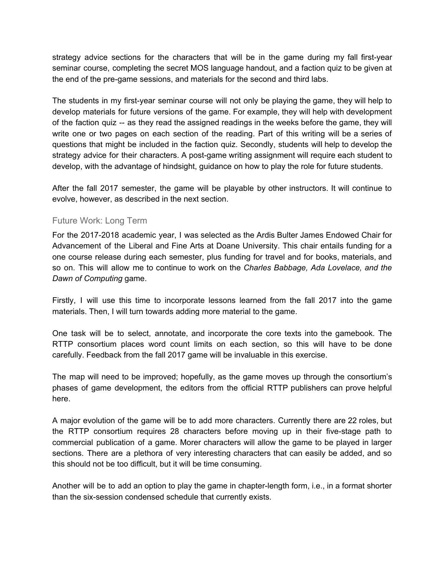strategy advice sections for the characters that will be in the game during my fall first-year seminar course, completing the secret MOS language handout, and a faction quiz to be given at the end of the pre-game sessions, and materials for the second and third labs.

The students in my first-year seminar course will not only be playing the game, they will help to develop materials for future versions of the game. For example, they will help with development of the faction quiz -- as they read the assigned readings in the weeks before the game, they will write one or two pages on each section of the reading. Part of this writing will be a series of questions that might be included in the faction quiz. Secondly, students will help to develop the strategy advice for their characters. A post-game writing assignment will require each student to develop, with the advantage of hindsight, guidance on how to play the role for future students.

After the fall 2017 semester, the game will be playable by other instructors. It will continue to evolve, however, as described in the next section.

# Future Work: Long Term

For the 2017-2018 academic year, I was selected as the Ardis Bulter James Endowed Chair for Advancement of the Liberal and Fine Arts at Doane University. This chair entails funding for a one course release during each semester, plus funding for travel and for books, materials, and so on. This will allow me to continue to work on the *Charles Babbage, Ada Lovelace, and the Dawn of Computing* game.

Firstly, I will use this time to incorporate lessons learned from the fall 2017 into the game materials. Then, I will turn towards adding more material to the game.

One task will be to select, annotate, and incorporate the core texts into the gamebook. The RTTP consortium places word count limits on each section, so this will have to be done carefully. Feedback from the fall 2017 game will be invaluable in this exercise.

The map will need to be improved; hopefully, as the game moves up through the consortium's phases of game development, the editors from the official RTTP publishers can prove helpful here.

A major evolution of the game will be to add more characters. Currently there are 22 roles, but the RTTP consortium requires 28 characters before moving up in their five-stage path to commercial publication of a game. Morer characters will allow the game to be played in larger sections. There are a plethora of very interesting characters that can easily be added, and so this should not be too difficult, but it will be time consuming.

Another will be to add an option to play the game in chapter-length form, i.e., in a format shorter than the six-session condensed schedule that currently exists.